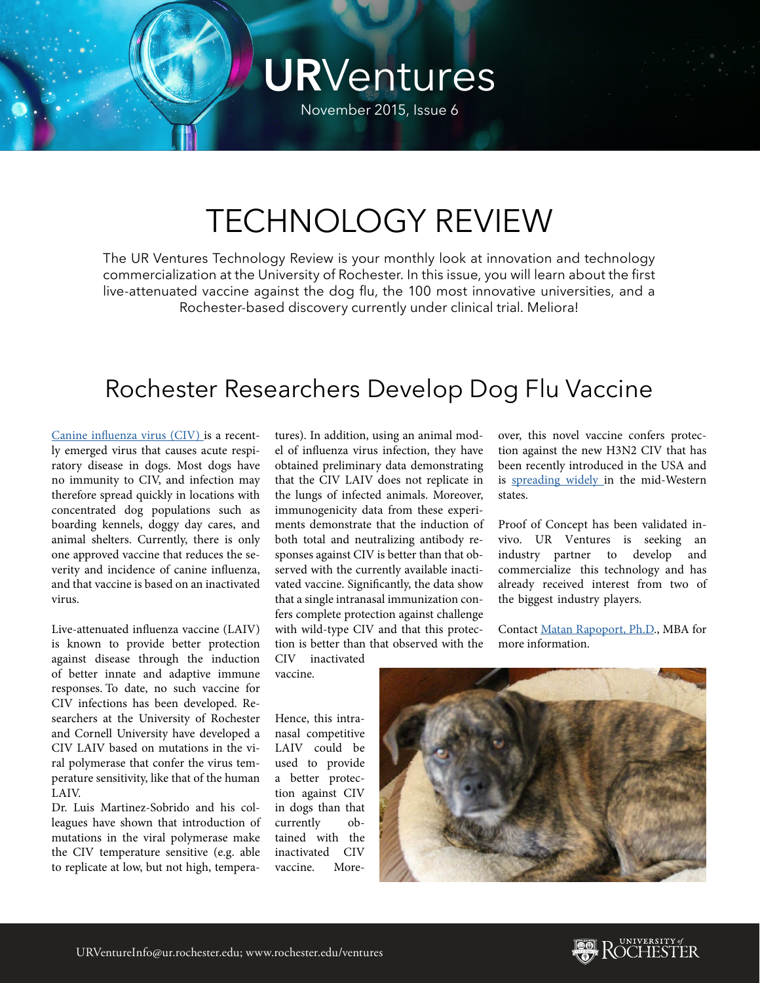# **UR**Ventures

November 2015, Issue 6

## TECHNOLOGY REVIEW

The UR Ventures Technology Review is your monthly look at innovation and technology commercialization at the University of Rochester. In this issue, you will learn about the first live-attenuated vaccine against the dog flu, the 100 most innovative universities, and a Rochester-based discovery currently under clinical trial. Meliora!

#### Rochester Researchers Develop Dog Flu Vaccine

[Canine influenza virus \(CIV\)](http://www.cdc.gov/flu/canineflu/keyfacts.htm) is a recently emerged virus that causes acute respiratory disease in dogs. Most dogs have no immunity to CIV, and infection may therefore spread quickly in locations with concentrated dog populations such as boarding kennels, doggy day cares, and animal shelters. Currently, there is only one approved vaccine that reduces the severity and incidence of canine influenza, and that vaccine is based on an inactivated virus.

Live-attenuated influenza vaccine (LAIV) is known to provide better protection against disease through the induction of better innate and adaptive immune responses. To date, no such vaccine for CIV infections has been developed. Researchers at the University of Rochester and Cornell University have developed a CIV LAIV based on mutations in the viral polymerase that confer the virus temperature sensitivity, like that of the human LAIV.

Dr. Luis Martinez-Sobrido and his colleagues have shown that introduction of mutations in the viral polymerase make the CIV temperature sensitive (e.g. able to replicate at low, but not high, tempera-

tures). In addition, using an animal model of influenza virus infection, they have obtained preliminary data demonstrating that the CIV LAIV does not replicate in the lungs of infected animals. Moreover, immunogenicity data from these experiments demonstrate that the induction of both total and neutralizing antibody responses against CIV is better than that observed with the currently available inactivated vaccine. Significantly, the data show that a single intranasal immunization confers complete protection against challenge with wild-type CIV and that this protection is better than that observed with the CIV inactivated

vaccine.

over, this novel vaccine confers protection against the new H3N2 CIV that has been recently introduced in the USA and is [spreading widely i](http://www.dogingtonpost.com/deadly-dog-flu-has-now-reached-15-states/)n the mid-Western states.

Proof of Concept has been validated invivo. UR Ventures is seeking an industry partner to develop and commercialize this technology and has already received interest from two of the biggest industry players.

Contact [Matan Rapoport, Ph.D](mailto:matan.rapoport@rochester.edu)., MBA for more information.

Hence, this intranasal competitive LAIV could be used to provide a better protection against CIV in dogs than that currently obtained with the inactivated CIV vaccine. More-